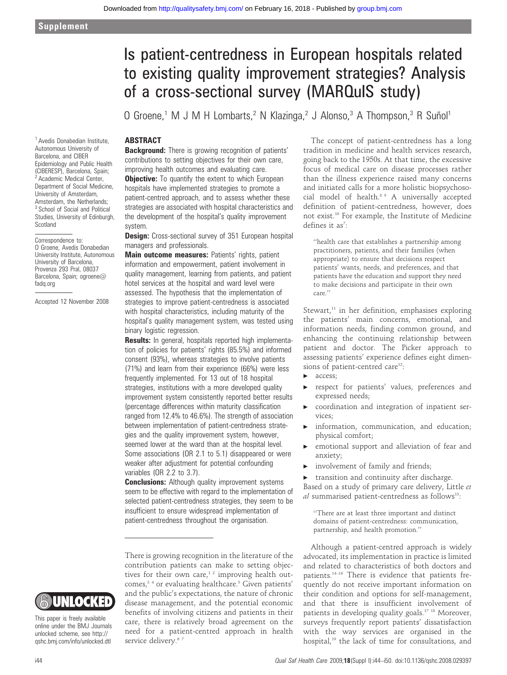# Is patient-centredness in European hospitals related to existing quality improvement strategies? Analysis of a cross-sectional survey (MARQuIS study)

O Groene,<sup>1</sup> M J M H Lombarts,<sup>2</sup> N Klazinga,<sup>2</sup> J Alonso,<sup>3</sup> A Thompson,<sup>3</sup> R Suñol<sup>1</sup>

# ABSTRACT

<sup>1</sup> Avedis Donabedian Institute, Autonomous University of Barcelona, and CIBER Epidemiology and Public Health (CIBERESP), Barcelona, Spain; <sup>2</sup> Academic Medical Center, Department of Social Medicine, University of Amsterdam, Amsterdam, the Netherlands; <sup>3</sup> School of Social and Political Studies, University of Edinburgh, Scotland

Correspondence to: O Groene, Avedis Donabedian University Institute, Autonomous University of Barcelona, Provenza 293 Pral, 08037 Barcelona, Spain; ogroene@ fadq.org

Accepted 12 November 2008

**Background:** There is growing recognition of patients' contributions to setting objectives for their own care, improving health outcomes and evaluating care. **Objective:** To quantify the extent to which European hospitals have implemented strategies to promote a patient-centred approach, and to assess whether these strategies are associated with hospital characteristics and the development of the hospital's quality improvement system.

**Design:** Cross-sectional survey of 351 European hospital managers and professionals.

Main outcome measures: Patients' rights, patient information and empowerment, patient involvement in quality management, learning from patients, and patient hotel services at the hospital and ward level were assessed. The hypothesis that the implementation of strategies to improve patient-centredness is associated with hospital characteristics, including maturity of the hospital's quality management system, was tested using binary logistic regression.

Results: In general, hospitals reported high implementation of policies for patients' rights (85.5%) and informed consent (93%), whereas strategies to involve patients (71%) and learn from their experience (66%) were less frequently implemented. For 13 out of 18 hospital strategies, institutions with a more developed quality improvement system consistently reported better results (percentage differences within maturity classification ranged from 12.4% to 46.6%). The strength of association between implementation of patient-centredness strategies and the quality improvement system, however, seemed lower at the ward than at the hospital level. Some associations (OR 2.1 to 5.1) disappeared or were weaker after adjustment for potential confounding variables (OR 2.2 to 3.7).

**Conclusions:** Although quality improvement systems seem to be effective with regard to the implementation of selected patient-centredness strategies, they seem to be insufficient to ensure widespread implementation of patient-centredness throughout the organisation.

There is growing recognition in the literature of the contribution patients can make to setting objectives for their own care,<sup>12</sup> improving health outcomes,<sup>34</sup> or evaluating healthcare.<sup>5</sup> Given patients' and the public's expectations, the nature of chronic disease management, and the potential economic benefits of involving citizens and patients in their care, there is relatively broad agreement on the need for a patient-centred approach in health service delivery.<sup>67</sup>

The concept of patient-centredness has a long tradition in medicine and health services research, going back to the 1950s. At that time, the excessive focus of medical care on disease processes rather than the illness experience raised many concerns and initiated calls for a more holistic biopsychosocial model of health.8 9 A universally accepted definition of patient-centredness, however, does not exist.10 For example, the Institute of Medicine defines it  $as^7$ :

''health care that establishes a partnership among practitioners, patients, and their families (when appropriate) to ensure that decisions respect patients' wants, needs, and preferences, and that patients have the education and support they need to make decisions and participate in their own care.''

Stewart, $11$  in her definition, emphasises exploring the patients' main concerns, emotional, and information needs, finding common ground, and enhancing the continuing relationship between patient and doctor. The Picker approach to assessing patients' experience defines eight dimensions of patient-centred care<sup>12</sup>:

- access:
- respect for patients' values, preferences and expressed needs;
- c coordination and integration of inpatient services;
- $\blacktriangleright$  information, communication, and education; physical comfort;
- c emotional support and alleviation of fear and anxiety;
- $\blacktriangleright$  involvement of family and friends;

transition and continuity after discharge. Based on a study of primary care delivery, Little et  $al$  summarised patient-centredness as follows<sup>13</sup>:

''There are at least three important and distinct domains of patient-centredness: communication, partnership, and health promotion.''

Although a patient-centred approach is widely advocated, its implementation in practice is limited and related to characteristics of both doctors and patients.14–16 There is evidence that patients frequently do not receive important information on their condition and options for self-management, and that there is insufficient involvement of patients in developing quality goals.<sup>17 18</sup> Moreover, surveys frequently report patients' dissatisfaction with the way services are organised in the hospital,<sup>19</sup> the lack of time for consultations, and



This paper is freely available online under the BMJ Journals unlocked scheme, see http:// qshc.bmj.com/info/unlocked.dtl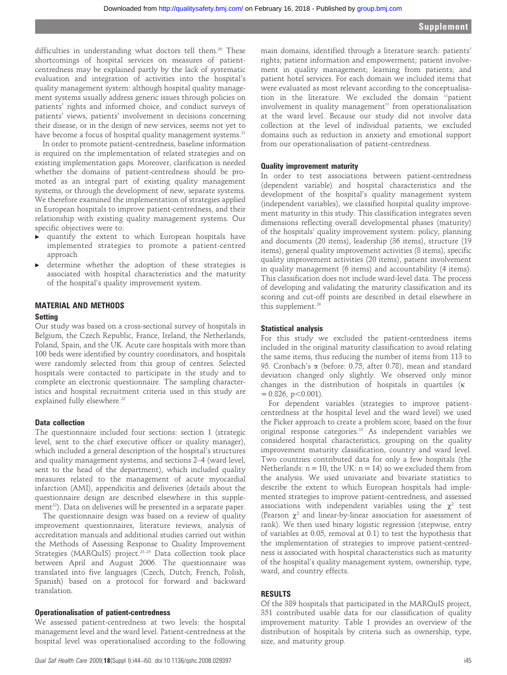difficulties in understanding what doctors tell them.<sup>20</sup> These shortcomings of hospital services on measures of patientcentredness may be explained partly by the lack of systematic evaluation and integration of activities into the hospital's quality management system: although hospital quality management systems usually address generic issues through policies on patients' rights and informed choice, and conduct surveys of patients' views, patients' involvement in decisions concerning their disease, or in the design of new services, seems not yet to have become a focus of hospital quality management systems.<sup>21</sup>

In order to promote patient-centredness, baseline information is required on the implementation of related strategies and on existing implementation gaps. Moreover, clarification is needed whether the domains of patient-centredness should be promoted as an integral part of existing quality management systems, or through the development of new, separate systems. We therefore examined the implementation of strategies applied in European hospitals to improve patient-centredness, and their relationship with existing quality management systems. Our specific objectives were to:

- $\blacktriangleright$  quantify the extent to which European hospitals have implemented strategies to promote a patient-centred approach
- determine whether the adoption of these strategies is associated with hospital characteristics and the maturity of the hospital's quality improvement system.

## MATERIAL AND METHODS

#### Setting

Our study was based on a cross-sectional survey of hospitals in Belgium, the Czech Republic, France, Ireland, the Netherlands, Poland, Spain, and the UK. Acute care hospitals with more than 100 beds were identified by country coordinators, and hospitals were randomly selected from this group of centres. Selected hospitals were contacted to participate in the study and to complete an electronic questionnaire. The sampling characteristics and hospital recruitment criteria used in this study are explained fully elsewhere.<sup>22</sup>

#### Data collection

The questionnaire included four sections: section 1 (strategic level, sent to the chief executive officer or quality manager), which included a general description of the hospital's structures and quality management systems, and sections 2–4 (ward level, sent to the head of the department), which included quality measures related to the management of acute myocardial infarction (AMI), appendicitis and deliveries (details about the questionnaire design are described elsewhere in this supplement<sup>22</sup>). Data on deliveries will be presented in a separate paper.

The questionnaire design was based on a review of quality improvement questionnaires, literature reviews, analysis of accreditation manuals and additional studies carried out within the Methods of Assessing Response to Quality Improvement Strategies (MARQuIS) project.<sup>23-25</sup> Data collection took place between April and August 2006. The questionnaire was translated into five languages (Czech, Dutch, French, Polish, Spanish) based on a protocol for forward and backward translation.

#### Operationalisation of patient-centredness

We assessed patient-centredness at two levels: the hospital management level and the ward level. Patient-centredness at the hospital level was operationalised according to the following

main domains, identified through a literature search: patients' rights; patient information and empowerment; patient involvement in quality management; learning from patients; and patient hotel services. For each domain we included items that were evaluated as most relevant according to the conceptualisation in the literature. We excluded the domain ''patient involvement in quality management'' from operationalisation at the ward level. Because our study did not involve data collection at the level of individual patients, we excluded domains such as reduction in anxiety and emotional support from our operationalisation of patient-centredness.

### Quality improvement maturity

In order to test associations between patient-centredness (dependent variable) and hospital characteristics and the development of the hospital's quality management system (independent variables), we classified hospital quality improvement maturity in this study. This classification integrates seven dimensions reflecting overall developmental phases (maturity) of the hospitals' quality improvement system: policy, planning and documents (20 items), leadership (36 items), structure (19 items), general quality improvement activities (8 items), specific quality improvement activities (20 items), patient involvement in quality management (6 items) and accountability (4 items). This classification does not include ward-level data. The process of developing and validating the maturity classification and its scoring and cut-off points are described in detail elsewhere in this supplement.<sup>26</sup>

## Statistical analysis

For this study we excluded the patient-centredness items included in the original maturity classification to avoid relating the same items, thus reducing the number of items from 113 to 95. Cronbach's a (before: 0.75, after 0.78), mean and standard deviation changed only slightly. We observed only minor changes in the distribution of hospitals in quartiles ( $\kappa$  $= 0.826, p<0.001$ ).

For dependent variables (strategies to improve patientcentredness at the hospital level and the ward level) we used the Picker approach to create a problem score, based on the four original response categories.12 As independent variables we considered hospital characteristics, grouping on the quality improvement maturity classification, country and ward level. Two countries contributed data for only a few hospitals (the Netherlands:  $n = 10$ , the UK:  $n = 14$ ) so we excluded them from the analysis. We used univariate and bivariate statistics to describe the extent to which European hospitals had implemented strategies to improve patient-centredness, and assessed associations with independent variables using the  $\chi^2$  test (Pearson  $\chi^2$  and linear-by-linear association for assessment of rank). We then used binary logistic regression (stepwise, entry of variables at 0.05, removal at 0.1) to test the hypothesis that the implementation of strategies to improve patient-centredness is associated with hospital characteristics such as maturity of the hospital's quality management system, ownership, type, ward, and country effects.

# RESULTS

Of the 389 hospitals that participated in the MARQuIS project, 351 contributed usable data for our classification of quality improvement maturity. Table 1 provides an overview of the distribution of hospitals by criteria such as ownership, type, size, and maturity group.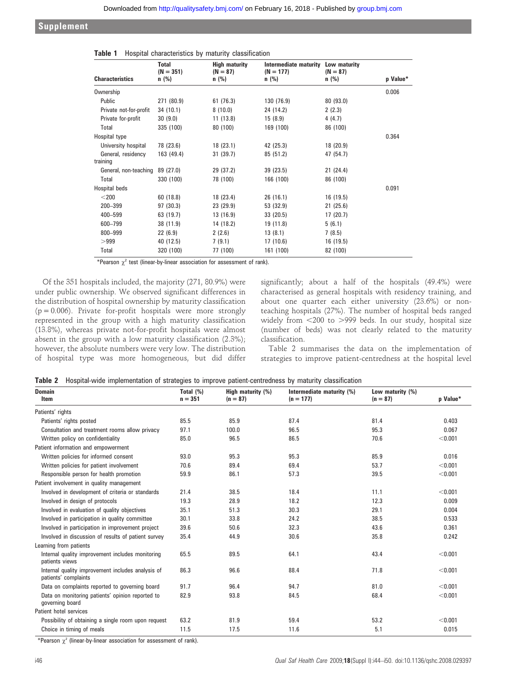# Supplement

|                        | <b>Total</b><br>$(N = 351)$ | <b>High maturity</b><br>$(N = 87)$ | Intermediate maturity Low maturity<br>$(N = 177)$ | $(N = 87)$ |          |
|------------------------|-----------------------------|------------------------------------|---------------------------------------------------|------------|----------|
| <b>Characteristics</b> | $n$ (%)                     | n (%)                              | n (%)                                             | n (%)      | p Value* |
| Ownership              |                             |                                    |                                                   |            | 0.006    |
| Public                 | 271 (80.9)                  | 61 (76.3)                          | 130 (76.9)                                        | 80 (93.0)  |          |
| Private not-for-profit | 34(10.1)                    | 8(10.0)                            | 24 (14.2)                                         | 2(2.3)     |          |
| Private for-profit     | 30(9.0)                     | 11 (13.8)                          | 15(8.9)                                           | 4 (4.7)    |          |
| Total                  | 335 (100)                   | 80 (100)                           | 169 (100)                                         | 86 (100)   |          |
| Hospital type          |                             |                                    |                                                   |            | 0.364    |
| University hospital    | 78 (23.6)                   | 18(23.1)                           | 42 (25.3)                                         | 18 (20.9)  |          |
| General, residency     | 163 (49.4)                  | 31(39.7)                           | 85 (51.2)                                         | 47 (54.7)  |          |
| training               |                             |                                    |                                                   |            |          |
| General, non-teaching  | 89 (27.0)                   | 29 (37.2)                          | 39 (23.5)                                         | 21(24.4)   |          |
| Total                  | 330 (100)                   | 78 (100)                           | 166 (100)                                         | 86 (100)   |          |
| Hospital beds          |                             |                                    |                                                   |            | 0.091    |
| $<$ 200                | 60 (18.8)                   | 18 (23.4)                          | 26(16.1)                                          | 16 (19.5)  |          |
| 200-399                | 97 (30.3)                   | 23 (29.9)                          | 53 (32.9)                                         | 21(25.6)   |          |
| 400-599                | 63 (19.7)                   | 13 (16.9)                          | 33 (20.5)                                         | 17(20.7)   |          |
| 600-799                | 38 (11.9)                   | 14 (18.2)                          | 19 (11.8)                                         | 5(6.1)     |          |
| 800-999                | 22(6.9)                     | 2(2.6)                             | 13(8.1)                                           | 7(8.5)     |          |
| >999                   | 40 (12.5)                   | 7(9.1)                             | 17(10.6)                                          | 16 (19.5)  |          |
| Total                  | 320 (100)                   | 77 (100)                           | 161 (100)                                         | 82 (100)   |          |

| Table 1 |  | Hospital characteristics by maturity classification |  |  |  |
|---------|--|-----------------------------------------------------|--|--|--|
|---------|--|-----------------------------------------------------|--|--|--|

\*Pearson  $\chi^2$  test (linear-by-linear association for assessment of rank).

Of the 351 hospitals included, the majority (271, 80.9%) were under public ownership. We observed significant differences in the distribution of hospital ownership by maturity classification  $(p = 0.006)$ . Private for-profit hospitals were more strongly represented in the group with a high maturity classification (13.8%), whereas private not-for-profit hospitals were almost absent in the group with a low maturity classification (2.3%); however, the absolute numbers were very low. The distribution of hospital type was more homogeneous, but did differ significantly; about a half of the hospitals (49.4%) were characterised as general hospitals with residency training, and about one quarter each either university (23.6%) or nonteaching hospitals (27%). The number of hospital beds ranged widely from  $<$  200 to  $>$ 999 beds. In our study, hospital size (number of beds) was not clearly related to the maturity classification.

Table 2 summarises the data on the implementation of strategies to improve patient-centredness at the hospital level

|  |  |  |  |  | Table 2 Hospital-wide implementation of strategies to improve patient-centredness by maturity classification |  |  |
|--|--|--|--|--|--------------------------------------------------------------------------------------------------------------|--|--|
|--|--|--|--|--|--------------------------------------------------------------------------------------------------------------|--|--|

| <b>Domain</b><br>Item                                                     | Total $(\%)$<br>$n = 351$ | High maturity (%)<br>$(n = 87)$ | Intermediate maturity (%)<br>$(n = 177)$ | Low maturity (%)<br>$(n = 87)$ | p Value* |
|---------------------------------------------------------------------------|---------------------------|---------------------------------|------------------------------------------|--------------------------------|----------|
| Patients' rights                                                          |                           |                                 |                                          |                                |          |
| Patients' rights posted                                                   | 85.5                      | 85.9                            | 87.4                                     | 81.4                           | 0.403    |
| Consultation and treatment rooms allow privacy                            | 97.1                      | 100.0                           | 96.5                                     | 95.3                           | 0.067    |
| Written policy on confidentiality                                         | 85.0                      | 96.5                            | 86.5                                     | 70.6                           | < 0.001  |
| Patient information and empowerment                                       |                           |                                 |                                          |                                |          |
| Written policies for informed consent                                     | 93.0                      | 95.3                            | 95.3                                     | 85.9                           | 0.016    |
| Written policies for patient involvement                                  | 70.6                      | 89.4                            | 69.4                                     | 53.7                           | < 0.001  |
| Responsible person for health promotion                                   | 59.9                      | 86.1                            | 57.3                                     | 39.5                           | < 0.001  |
| Patient involvement in quality management                                 |                           |                                 |                                          |                                |          |
| Involved in development of criteria or standards                          | 21.4                      | 38.5                            | 18.4                                     | 11.1                           | < 0.001  |
| Involved in design of protocols                                           | 19.3                      | 28.9                            | 18.2                                     | 12.3                           | 0.009    |
| Involved in evaluation of quality objectives                              | 35.1                      | 51.3                            | 30.3                                     | 29.1                           | 0.004    |
| Involved in participation in quality committee                            | 30.1                      | 33.8                            | 24.2                                     | 38.5                           | 0.533    |
| Involved in participation in improvement project                          | 39.6                      | 50.6                            | 32.3                                     | 43.6                           | 0.361    |
| Involved in discussion of results of patient survey                       | 35.4                      | 44.9                            | 30.6                                     | 35.8                           | 0.242    |
| Learning from patients                                                    |                           |                                 |                                          |                                |          |
| Internal quality improvement includes monitoring<br>patients views        | 65.5                      | 89.5                            | 64.1                                     | 43.4                           | < 0.001  |
| Internal quality improvement includes analysis of<br>patients' complaints | 86.3                      | 96.6                            | 88.4                                     | 71.8                           | < 0.001  |
| Data on complaints reported to governing board                            | 91.7                      | 96.4                            | 94.7                                     | 81.0                           | < 0.001  |
| Data on monitoring patients' opinion reported to<br>governing board       | 82.9                      | 93.8                            | 84.5                                     | 68.4                           | < 0.001  |
| Patient hotel services                                                    |                           |                                 |                                          |                                |          |
| Possibility of obtaining a single room upon request                       | 63.2                      | 81.9                            | 59.4                                     | 53.2                           | < 0.001  |
| Choice in timing of meals                                                 | 11.5                      | 17.5                            | 11.6                                     | 5.1                            | 0.015    |

\*Pearson  $\chi^2$  (linear-by-linear association for assessment of rank).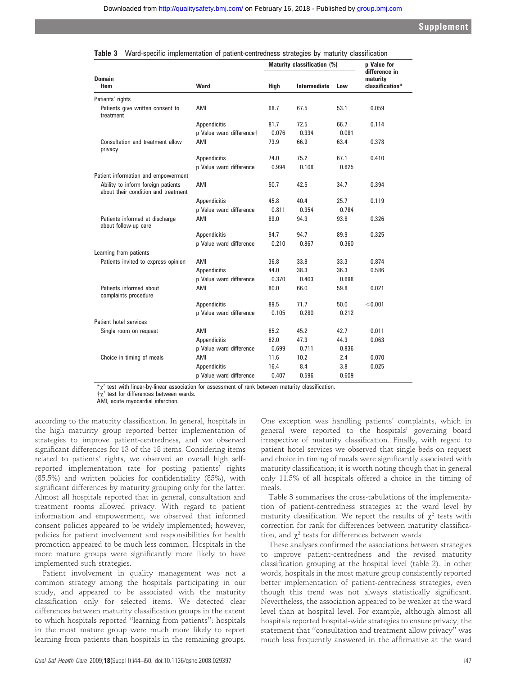|                                                                           |                          | <b>Maturity classification (%)</b> |              |       | p Value for                                  |  |
|---------------------------------------------------------------------------|--------------------------|------------------------------------|--------------|-------|----------------------------------------------|--|
| <b>Domain</b><br>Item                                                     | Ward                     | <b>High</b>                        | Intermediate | Low   | difference in<br>maturity<br>classification* |  |
| Patients' rights                                                          |                          |                                    |              |       |                                              |  |
| Patients give written consent to<br>treatment                             | AMI                      | 68.7                               | 67.5         | 53.1  | 0.059                                        |  |
|                                                                           | Appendicitis             | 81.7                               | 72.5         | 66.7  | 0.114                                        |  |
|                                                                           | p Value ward difference† | 0.076                              | 0.334        | 0.081 |                                              |  |
| <b>Consultation and treatment allow</b><br>privacy                        | AMI                      | 73.9                               | 66.9         | 63.4  | 0.378                                        |  |
|                                                                           | Appendicitis             | 74.0                               | 75.2         | 67.1  | 0.410                                        |  |
|                                                                           | p Value ward difference  | 0.994                              | 0.108        | 0.625 |                                              |  |
| Patient information and empowerment                                       |                          |                                    |              |       |                                              |  |
| Ability to inform foreign patients<br>about their condition and treatment | AMI                      | 50.7                               | 42.5         | 34.7  | 0.394                                        |  |
|                                                                           | Appendicitis             | 45.8                               | 40.4         | 25.7  | 0.119                                        |  |
|                                                                           | p Value ward difference  | 0.811                              | 0.354        | 0.784 |                                              |  |
| Patients informed at discharge<br>about follow-up care                    | AMI                      | 89.0                               | 94.3         | 93.8  | 0.326                                        |  |
|                                                                           | Appendicitis             | 94.7                               | 94.7         | 89.9  | 0.325                                        |  |
|                                                                           | p Value ward difference  | 0.210                              | 0.867        | 0.360 |                                              |  |
| Learning from patients                                                    |                          |                                    |              |       |                                              |  |
| Patients invited to express opinion                                       | AMI                      | 36.8                               | 33.8         | 33.3  | 0.874                                        |  |
|                                                                           | Appendicitis             | 44.0                               | 38.3         | 36.3  | 0.586                                        |  |
|                                                                           | p Value ward difference  | 0.370                              | 0.403        | 0.698 |                                              |  |
| Patients informed about<br>complaints procedure                           | AMI                      | 80.0                               | 66.0         | 59.8  | 0.021                                        |  |
|                                                                           | Appendicitis             | 89.5                               | 71.7         | 50.0  | < 0.001                                      |  |
|                                                                           | p Value ward difference  | 0.105                              | 0.280        | 0.212 |                                              |  |
| Patient hotel services                                                    |                          |                                    |              |       |                                              |  |
| Single room on request                                                    | AMI                      | 65.2                               | 45.2         | 42.7  | 0.011                                        |  |
|                                                                           | Appendicitis             | 62.0                               | 47.3         | 44.3  | 0.063                                        |  |
|                                                                           | p Value ward difference  | 0.699                              | 0.711        | 0.836 |                                              |  |
| Choice in timing of meals                                                 | AMI                      | 11.6                               | 10.2         | 2.4   | 0.070                                        |  |
|                                                                           | Appendicitis             | 16.4                               | 8.4          | 3.8   | 0.025                                        |  |
|                                                                           | p Value ward difference  | 0.407                              | 0.596        | 0.609 |                                              |  |

Table 3 Ward-specific implementation of patient-centredness strategies by maturity classification

 $*\chi^2$  test with linear-by-linear association for assessment of rank between maturity classification.

 $2$  test for differences between wards.

AMI, acute myocardial infarction.

according to the maturity classification. In general, hospitals in the high maturity group reported better implementation of strategies to improve patient-centredness, and we observed significant differences for 13 of the 18 items. Considering items related to patients' rights, we observed an overall high selfreported implementation rate for posting patients' rights (85.5%) and written policies for confidentiality (85%), with significant differences by maturity grouping only for the latter. Almost all hospitals reported that in general, consultation and treatment rooms allowed privacy. With regard to patient information and empowerment, we observed that informed consent policies appeared to be widely implemented; however, policies for patient involvement and responsibilities for health promotion appeared to be much less common. Hospitals in the more mature groups were significantly more likely to have implemented such strategies.

Patient involvement in quality management was not a common strategy among the hospitals participating in our study, and appeared to be associated with the maturity classification only for selected items. We detected clear differences between maturity classification groups in the extent to which hospitals reported ''learning from patients'': hospitals in the most mature group were much more likely to report learning from patients than hospitals in the remaining groups.

One exception was handling patients' complaints, which in general were reported to the hospitals' governing board irrespective of maturity classification. Finally, with regard to patient hotel services we observed that single beds on request and choice in timing of meals were significantly associated with maturity classification; it is worth noting though that in general only 11.5% of all hospitals offered a choice in the timing of meals.

Table 3 summarises the cross-tabulations of the implementation of patient-centredness strategies at the ward level by maturity classification. We report the results of  $\chi^2$  tests with correction for rank for differences between maturity classification, and  $\chi^2$  tests for differences between wards.

These analyses confirmed the associations between strategies to improve patient-centredness and the revised maturity classification grouping at the hospital level (table 2). In other words, hospitals in the most mature group consistently reported better implementation of patient-centredness strategies, even though this trend was not always statistically significant. Nevertheless, the association appeared to be weaker at the ward level than at hospital level. For example, although almost all hospitals reported hospital-wide strategies to ensure privacy, the statement that ''consultation and treatment allow privacy'' was much less frequently answered in the affirmative at the ward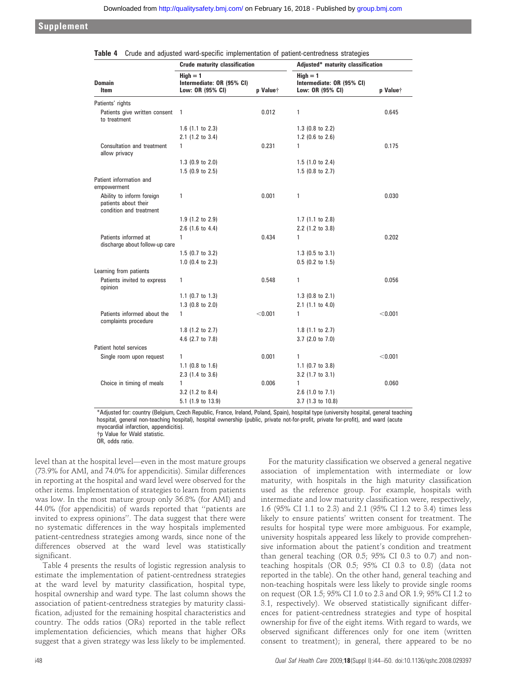Crude maturity classification Adjusted\* maturity classification

# Supplement

|                                                                              | <b>UTUAN MATHEMATH</b> CHASSINGHUM                          |                      | Aujustou maturity classification                            |                      |  |
|------------------------------------------------------------------------------|-------------------------------------------------------------|----------------------|-------------------------------------------------------------|----------------------|--|
| <b>Domain</b><br>Item                                                        | $High = 1$<br>Intermediate: OR (95% CI)<br>Low: OR (95% CI) | p Value <sup>+</sup> | $High = 1$<br>Intermediate: OR (95% CI)<br>Low: OR (95% CI) | p Value <sup>+</sup> |  |
| Patients' rights                                                             |                                                             |                      |                                                             |                      |  |
| Patients give written consent<br>to treatment                                | -1                                                          | 0.012                | 1                                                           | 0.645                |  |
|                                                                              | $1.6$ (1.1 to 2.3)                                          |                      | $1.3$ (0.8 to 2.2)                                          |                      |  |
|                                                                              | 2.1 (1.2 to 3.4)                                            |                      | $1.2$ (0.6 to 2.6)                                          |                      |  |
| <b>Consultation and treatment</b><br>allow privacy                           | 1                                                           | 0.231                | 1                                                           | 0.175                |  |
|                                                                              | $1.3$ (0.9 to 2.0)                                          |                      | $1.5$ (1.0 to 2.4)                                          |                      |  |
|                                                                              | 1.5 (0.9 to 2.5)                                            |                      | $1.5$ (0.8 to 2.7)                                          |                      |  |
| Patient information and<br>empowerment                                       |                                                             |                      |                                                             |                      |  |
| Ability to inform foreign<br>patients about their<br>condition and treatment | 1                                                           | 0.001                | 1                                                           | 0.030                |  |
|                                                                              | 1.9 (1.2 to 2.9)                                            |                      | $1.7$ (1.1 to 2.8)                                          |                      |  |
|                                                                              | 2.6 (1.6 to 4.4)                                            |                      | 2.2 (1.2 to 3.8)                                            |                      |  |
| Patients informed at<br>discharge about follow-up care                       | 1                                                           | 0.434                | 1                                                           | 0.202                |  |
|                                                                              | $1.5$ (0.7 to 3.2)                                          |                      | $1.3$ (0.5 to $3.1$ )                                       |                      |  |
|                                                                              | 1.0 (0.4 to 2.3)                                            |                      | $0.5$ (0.2 to 1.5)                                          |                      |  |
| Learning from patients                                                       |                                                             |                      |                                                             |                      |  |
| Patients invited to express<br>opinion                                       | 1                                                           | 0.548                | $\mathbf{1}$                                                | 0.056                |  |
|                                                                              | 1.1 $(0.7 \text{ to } 1.3)$                                 |                      | $1.3$ (0.8 to 2.1)                                          |                      |  |
|                                                                              | $1.3$ (0.8 to 2.0)                                          |                      | 2.1 (1.1 to 4.0)                                            |                      |  |
| Patients informed about the<br>complaints procedure                          | 1                                                           | < 0.001              | 1                                                           | < 0.001              |  |
|                                                                              | 1.8 (1.2 to 2.7)                                            |                      | $1.8$ (1.1 to 2.7)                                          |                      |  |
|                                                                              | 4.6 (2.7 to 7.8)                                            |                      | 3.7 (2.0 to 7.0)                                            |                      |  |
| Patient hotel services                                                       |                                                             |                      |                                                             |                      |  |
| Single room upon request                                                     | 1                                                           | 0.001                | 1                                                           | < 0.001              |  |
|                                                                              | 1.1 $(0.8 \text{ to } 1.6)$                                 |                      | 1.1 $(0.7 \text{ to } 3.8)$                                 |                      |  |
|                                                                              | $2.3$ (1.4 to $3.6$ )                                       |                      | 3.2 (1.7 to 3.1)                                            |                      |  |
| Choice in timing of meals                                                    | 1                                                           | 0.006                | 1                                                           | 0.060                |  |
|                                                                              | 3.2 (1.2 to 8.4)                                            |                      | $2.6$ (1.0 to 7.1)                                          |                      |  |
|                                                                              | 5.1 (1.9 to 13.9)                                           |                      | 3.7 (1.3 to 10.8)                                           |                      |  |

Table 4 Crude and adjusted ward-specific implementation of patient-centredness strategies

\*Adjusted for: country (Belgium, Czech Republic, France, Ireland, Poland, Spain), hospital type (university hospital, general teaching hospital, general non-teaching hospital), hospital ownership (public, private not-for-profit, private for-profit), and ward (acute myocardial infarction, appendicitis).

{p Value for Wald statistic.

OR, odds ratio.

level than at the hospital level—even in the most mature groups (73.9% for AMI, and 74.0% for appendicitis). Similar differences in reporting at the hospital and ward level were observed for the other items. Implementation of strategies to learn from patients was low. In the most mature group only 36.8% (for AMI) and 44.0% (for appendicitis) of wards reported that ''patients are invited to express opinions''. The data suggest that there were no systematic differences in the way hospitals implemented patient-centredness strategies among wards, since none of the differences observed at the ward level was statistically significant.

Table 4 presents the results of logistic regression analysis to estimate the implementation of patient-centredness strategies at the ward level by maturity classification, hospital type, hospital ownership and ward type. The last column shows the association of patient-centredness strategies by maturity classification, adjusted for the remaining hospital characteristics and country. The odds ratios (ORs) reported in the table reflect implementation deficiencies, which means that higher ORs suggest that a given strategy was less likely to be implemented.

For the maturity classification we observed a general negative association of implementation with intermediate or low maturity, with hospitals in the high maturity classification used as the reference group. For example, hospitals with intermediate and low maturity classification were, respectively, 1.6 (95% CI 1.1 to 2.3) and 2.1 (95% CI 1.2 to 3.4) times less likely to ensure patients' written consent for treatment. The results for hospital type were more ambiguous. For example, university hospitals appeared less likely to provide comprehensive information about the patient's condition and treatment than general teaching (OR 0.5; 95% CI 0.3 to 0.7) and nonteaching hospitals (OR 0.5; 95% CI 0.3 to 0.8) (data not reported in the table). On the other hand, general teaching and non-teaching hospitals were less likely to provide single rooms on request (OR 1.5; 95% CI 1.0 to 2.3 and OR 1.9; 95% CI 1.2 to 3.1, respectively). We observed statistically significant differences for patient-centredness strategies and type of hospital ownership for five of the eight items. With regard to wards, we observed significant differences only for one item (written consent to treatment); in general, there appeared to be no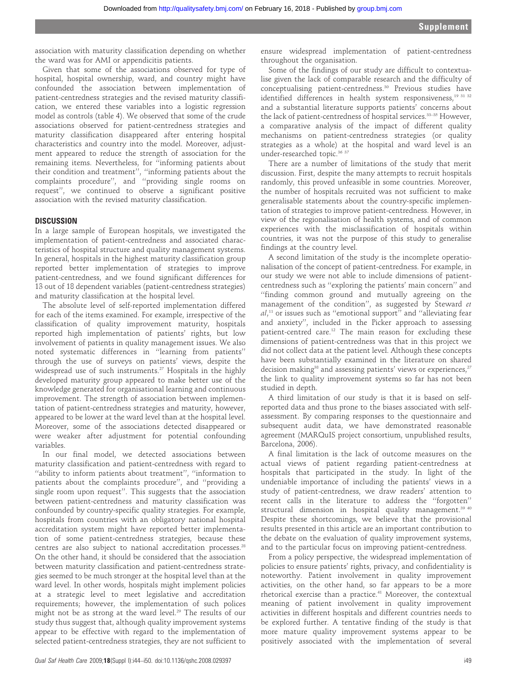association with maturity classification depending on whether the ward was for AMI or appendicitis patients.

Given that some of the associations observed for type of hospital, hospital ownership, ward, and country might have confounded the association between implementation of patient-centredness strategies and the revised maturity classification, we entered these variables into a logistic regression model as controls (table 4). We observed that some of the crude associations observed for patient-centredness strategies and maturity classification disappeared after entering hospital characteristics and country into the model. Moreover, adjustment appeared to reduce the strength of association for the remaining items. Nevertheless, for ''informing patients about their condition and treatment'', ''informing patients about the complaints procedure'', and ''providing single rooms on request'', we continued to observe a significant positive association with the revised maturity classification.

# **DISCUSSION**

In a large sample of European hospitals, we investigated the implementation of patient-centredness and associated characteristics of hospital structure and quality management systems. In general, hospitals in the highest maturity classification group reported better implementation of strategies to improve patient-centredness, and we found significant differences for 13 out of 18 dependent variables (patient-centredness strategies) and maturity classification at the hospital level.

The absolute level of self-reported implementation differed for each of the items examined. For example, irrespective of the classification of quality improvement maturity, hospitals reported high implementation of patients' rights, but low involvement of patients in quality management issues. We also noted systematic differences in ''learning from patients'' through the use of surveys on patients' views, despite the widespread use of such instruments.<sup>27</sup> Hospitals in the highly developed maturity group appeared to make better use of the knowledge generated for organisational learning and continuous improvement. The strength of association between implementation of patient-centredness strategies and maturity, however, appeared to be lower at the ward level than at the hospital level. Moreover, some of the associations detected disappeared or were weaker after adjustment for potential confounding variables.

In our final model, we detected associations between maturity classification and patient-centredness with regard to ''ability to inform patients about treatment'', ''information to patients about the complaints procedure'', and ''providing a single room upon request''. This suggests that the association between patient-centredness and maturity classification was confounded by country-specific quality strategies. For example, hospitals from countries with an obligatory national hospital accreditation system might have reported better implementation of some patient-centredness strategies, because these centres are also subject to national accreditation processes.<sup>28</sup> On the other hand, it should be considered that the association between maturity classification and patient-centredness strategies seemed to be much stronger at the hospital level than at the ward level. In other words, hospitals might implement policies at a strategic level to meet legislative and accreditation requirements; however, the implementation of such polices might not be as strong at the ward level.<sup>29</sup> The results of our study thus suggest that, although quality improvement systems appear to be effective with regard to the implementation of selected patient-centredness strategies, they are not sufficient to ensure widespread implementation of patient-centredness throughout the organisation.

Some of the findings of our study are difficult to contextualise given the lack of comparable research and the difficulty of conceptualising patient-centredness.30 Previous studies have identified differences in health system responsiveness,<sup>19 31 32</sup> and a substantial literature supports patients' concerns about the lack of patient-centredness of hospital services.<sup>33-35</sup> However, a comparative analysis of the impact of different quality mechanisms on patient-centredness strategies (or quality strategies as a whole) at the hospital and ward level is an under-researched topic.<sup>36 37</sup>

There are a number of limitations of the study that merit discussion. First, despite the many attempts to recruit hospitals randomly, this proved unfeasible in some countries. Moreover, the number of hospitals recruited was not sufficient to make generalisable statements about the country-specific implementation of strategies to improve patient-centredness. However, in view of the regionalisation of health systems, and of common experiences with the misclassification of hospitals within countries, it was not the purpose of this study to generalise findings at the country level.

A second limitation of the study is the incomplete operationalisation of the concept of patient-centredness. For example, in our study we were not able to include dimensions of patientcentredness such as ''exploring the patients' main concern'' and ''finding common ground and mutually agreeing on the management of the condition'', as suggested by Steward et  $al,$ <sup>11</sup> or issues such as "emotional support" and "alleviating fear and anxiety'', included in the Picker approach to assessing patient-centred care.<sup>12</sup> The main reason for excluding these dimensions of patient-centredness was that in this project we did not collect data at the patient level. Although these concepts have been substantially examined in the literature on shared decision making<sup>38</sup> and assessing patients' views or experiences,<sup>27</sup> the link to quality improvement systems so far has not been studied in depth.

A third limitation of our study is that it is based on selfreported data and thus prone to the biases associated with selfassessment. By comparing responses to the questionnaire and subsequent audit data, we have demonstrated reasonable agreement (MARQuIS project consortium, unpublished results, Barcelona, 2006).

A final limitation is the lack of outcome measures on the actual views of patient regarding patient-centredness at hospitals that participated in the study. In light of the undeniable importance of including the patients' views in a study of patient-centredness, we draw readers' attention to recent calls in the literature to address the ''forgotten'' structural dimension in hospital quality management.<sup>39 40</sup> Despite these shortcomings, we believe that the provisional results presented in this article are an important contribution to the debate on the evaluation of quality improvement systems, and to the particular focus on improving patient-centredness.

From a policy perspective, the widespread implementation of policies to ensure patients' rights, privacy, and confidentiality is noteworthy. Patient involvement in quality improvement activities, on the other hand, so far appears to be a more rhetorical exercise than a practice.<sup>41</sup> Moreover, the contextual meaning of patient involvement in quality improvement activities in different hospitals and different countries needs to be explored further. A tentative finding of the study is that more mature quality improvement systems appear to be positively associated with the implementation of several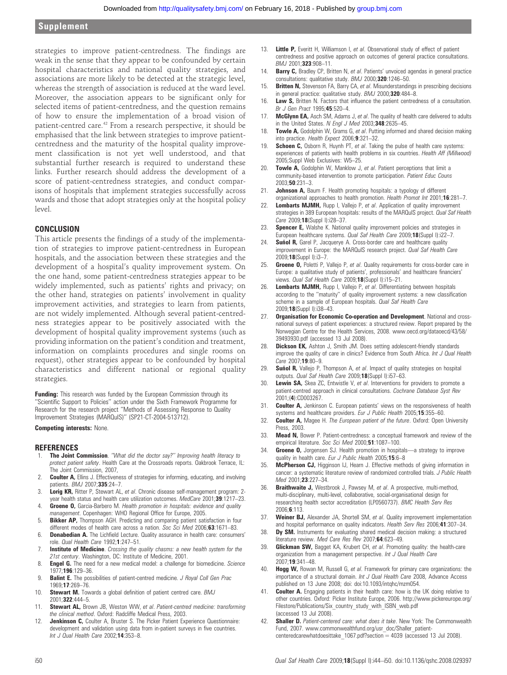# Supplement

strategies to improve patient-centredness. The findings are weak in the sense that they appear to be confounded by certain hospital characteristics and national quality strategies, and associations are more likely to be detected at the strategic level, whereas the strength of association is reduced at the ward level. Moreover, the association appears to be significant only for selected items of patient-centredness, and the question remains of how to ensure the implementation of a broad vision of patient-centred care.<sup>42</sup> From a research perspective, it should be emphasised that the link between strategies to improve patientcentredness and the maturity of the hospital quality improvement classification is not yet well understood, and that substantial further research is required to understand these links. Further research should address the development of a score of patient-centredness strategies, and conduct comparisons of hospitals that implement strategies successfully across wards and those that adopt strategies only at the hospital policy level.

#### **CONCLUSION**

This article presents the findings of a study of the implementation of strategies to improve patient-centredness in European hospitals, and the association between these strategies and the development of a hospital's quality improvement system. On the one hand, some patient-centredness strategies appear to be widely implemented, such as patients' rights and privacy; on the other hand, strategies on patients' involvement in quality improvement activities, and strategies to learn from patients, are not widely implemented. Although several patient-centredness strategies appear to be positively associated with the development of hospital quality improvement systems (such as providing information on the patient's condition and treatment, information on complaints procedures and single rooms on request), other strategies appear to be confounded by hospital characteristics and different national or regional quality strategies.

**Funding:** This research was funded by the European Commission through its ''Scientific Support to Policies'' action under the Sixth Framework Programme for Research for the research project ''Methods of Assessing Response to Quality Improvement Strategies (MARQuIS)'' (SP21-CT-2004-513712).

Competing interests: None.

#### REFERENCES

- The Joint Commission. 'What did the doctor say?" Improving health literacy to protect patient safety. Health Care at the Crossroads reports. Oakbrook Terrace, IL: The Joint Commission, 2007,
- 2. **Coulter A,** Ellins J. Effectiveness of strategies for informing, educating, and involving patients. **BMJ** 2007;335:24-7.
- 3. Lorig KR, Ritter P, Stewart AL, et al. Chronic disease self-management program: 2year health status and health care utilization outcomes. MedCare 2001;39:1217-23.
- 4. Groene O, Garcia-Barbero M. Health promotion in hospitals: evidence and quality management. Copenhagen: WHO Regional Office for Europe, 2005.
- 5. Bikker AP, Thompson AGH. Predicting and comparing patient satisfaction in four different modes of health care across a nation. Soc Sci Med 2006;63:1671-83.
- **Donabedian A.** The Lichfield Lecture. Quality assurance in health care: consumers' role. Qual Health Care 1992;1:247–51.
- 7. **Institute of Medicine**. Crossing the quality chasms: a new health system for the 21st century. Washington, DC: Institute of Medicine, 2001.
- 8. **Engel G.** The need for a new medical model: a challenge for biomedicine. Science 1977;196:129–36.
- 9. **Balint E.** The possibilities of patient-centred medicine. J Royal Coll Gen Prac 1969;17:269–76.
- 10. Stewart M. Towards a global definition of patient centred care. BMJ 2001;322:444–5.
- 11. Stewart AL, Brown JB, Weston WW, et al. Patient-centred medicine: transforming the clinical method. Oxford: Radcliffe Medical Press, 2003.
- 12. **Jenkinson C,** Coulter A, Bruster S. The Picker Patient Experience Questionnaire: development and validation using data from in-patient surveys in five countries. Int J Qual Health Care 2002;14:353-8.
- 13. Little P, Everitt H, Williamson I, et al. Observational study of effect of patient centredness and positive approach on outcomes of general practice consultations. BMJ 2001;323:908–11.
- 14. **Barry C,** Bradley CP, Britten N, et al. Patients' unvoiced agendas in general practice consultations: qualitative study. BMJ 2000;320:1246–50.
- 15. Britten N, Stevenson FA, Barry CA, et al. Misunderstandings in prescribing decisions in general practice: qualitative study. BMJ 2000;320:484–8.
- 16. Law S, Britten N. Factors that influence the patient centredness of a consultation. Br J Gen Pract 1995;45:520–4.
- 17. McGlynn EA, Asch SM, Adams J, et al. The quality of health care delivered to adults in the United States. N Engl J Med 2003;348:2635-45.
- 18. **Towle A,** Godolphin W, Grams G, et al. Putting informed and shared decision making into practice. Health Expect 2006;9:321-32.
- 19. Schoen C, Osborn R, Huynh PT, et al. Taking the pulse of health care systems: experiences of patients with health problems in six countries. Health Aff (Millwood) 2005;Suppl Web Exclusives: W5–25.
- 20. Towle A, Godolphin W, Manklow J, et al. Patient perceptions that limit a community-based intervention to promote participation. Patient Educ Couns 2003;50:231–3.
- 21. Johnson A, Baum F. Health promoting hospitals: a typology of different organizational approaches to health promotion. Health Promot Int 2001;16:281-7.
- Lombarts MJMH, Rupp I, Vallejo P, et al. Application of quality improvement strategies in 389 European hospitals: results of the MARQuIS project. Qual Saf Health Care 2009;18(Suppl I):i28-37.
- 23. **Spencer E,** Walshe K. National quality improvement policies and strategies in European healthcare systems. Qual Saf Health Care 2009;18(Suppl I):i22–7.
- Suñol R, Garel P, Jacquerye A. Cross-border care and healthcare quality improvement in Europe: the MARQuIS research project. Qual Saf Health Care 2009;18(Suppl I):i3–7.
- 25. Groene O, Poletti P, Vallejo P, et al. Quality requirements for cross-border care in Europe: a qualitative study of patients', professionals' and healthcare financiers' views. Qual Saf Health Care 2009;18(Suppl I):i15–21.
- 26. Lombarts MJMH, Rupp I, Vallejo P, et al. Differentiating between hospitals according to the ''maturity'' of quality improvement systems: a new classification scheme in a sample of European hospitals. Qual Saf Health Care 2009;18(Suppl I):i38–43.
- 27. Organisation for Economic Co-operation and Development. National and crossnational surveys of patient experiences: a structured review. Report prepared by the Norwegian Centre for the Health Services, 2008. www.oecd.org/dataoecd/43/58/ 39493930.pdf (accessed 13 Jul 2008).
- 28. Dickson EK, Ashton J, Smith JM. Does setting adolescent-friendly standards improve the quality of care in clinics? Evidence from South Africa. Int J Qual Health Care 2007:19:80-9.
- 29. Suñol R, Vallejo P, Thompson A, et al. Impact of quality strategies on hospital outputs. *Qual Saf Health Care* 2009;18(Suppl I):i57-63.
- 30. Lewin SA, Skea ZC, Entwistle V, et al. Interventions for providers to promote a patient-centred approach in clinical consultations. Cochrane Database Syst Rev 2001;(4):CD003267.
- 31. **Coulter A.** Jenkinson C. European patients' views on the responsiveness of health systems and healthcare providers. Eur J Public Health 2005;15:355-60.
- 32. Coulter A, Magee H. The European patient of the future. Oxford: Open University Press, 2003.
- 33. Mead N, Bower P. Patient-centredness: a conceptual framework and review of the empirical literature. Soc Sci Med 2000;51:1087-100.
- 34. **Groene O,** Jorgensen SJ. Health promotion in hospitals—a strategy to improve quality in health care. Eur J Public Health 2005;15:6-8
- 35. McPherson CJ, Higginson IJ, Hearn J. Effective methods of giving information in cancer: a systematic literature review of randomized controlled trials. J Public Health Med 2001;23:227–34.
- 36. Braithwaite J, Westbrook J, Pawsey M, et al. A prospective, multi-method, multi-disciplinary, multi-level, collaborative, social-organisational design for researching health sector accreditation (LP0560737). BMC Health Serv Res 2006;6:113.
- 37. Weiner BJ, Alexander JA, Shortell SM, et al. Quality improvement implementation and hospital performance on quality indicators. Health Serv Res 2006;41:307–34.
- 38. **Dy SM.** Instruments for evaluating shared medical decision making: a structured literature review. Med Care Res Rev 2007;64:623–49.
- 39. Glickman SW, Bagget KA, Krubert CH, et al. Promoting quality: the health-care organization from a management perspective. Int J Qual Health Care 2007;19:341–48.
- 40. Hogg W, Rowan M, Russell G, et al. Framework for primary care organizations: the importance of a structural domain. *Int J Qual Health Care* 2008, Advance Access published on 13 June 2008; doi: doi:10.1093/intqhc/mzm054.
- Coulter A. Engaging patients in their health care: how is the UK doing relative to other countries. Oxford: Picker Institute Europe, 2006. http://www.pickereurope.org/ Filestore/Publications/Six\_country\_study\_with\_ISBN\_web.pdf (accessed 13 Jul 2008).
- 42. Shaller D. Patient-centered care: what does it take. New York: The Commonwealth Fund, 2007. www.commonwealthfund.org/usr\_doc/Shaller\_patientcenteredcarewhatdoesittake\_1067.pdf?section = 4039 (accessed 13 Jul 2008).